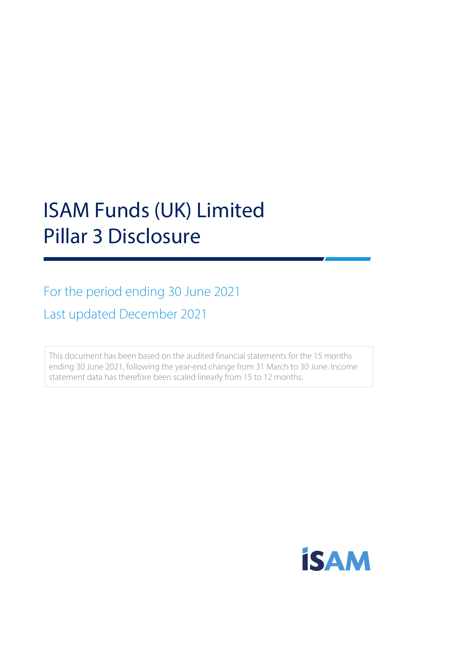# ISAM Funds (UK) Limited Pillar 3 Disclosure

For the period ending 30 June 2021 Last updated December 2021

This document has been based on the audited financial statements for the 15 months ending 30 June 2021, following the year-end change from 31 March to 30 June. Income statement data has therefore been scaled linearly from 15 to 12 months.

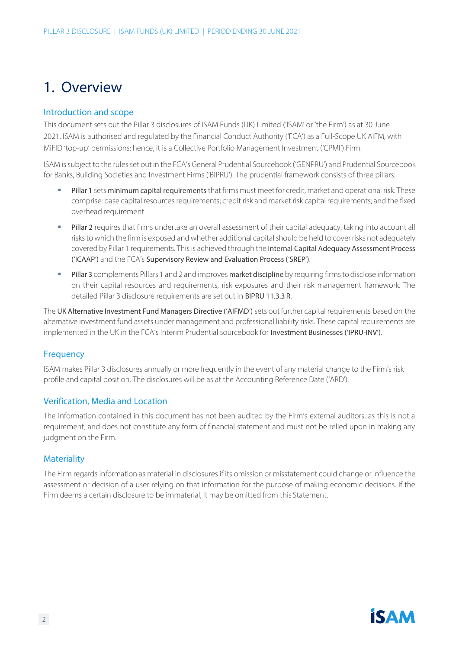## 1. Overview

#### Introduction and scope

This document sets out the Pillar 3 disclosures of ISAM Funds (UK) Limited ('ISAM' or 'the Firm') as at 30 June 2021. ISAM is authorised and regulated by the Financial Conduct Authority ('FCA') as a Full-Scope UK AIFM, with MiFID 'top-up' permissions; hence, it is a Collective Portfolio Management Investment ('CPMI') Firm.

ISAM is subject to the rules set out in the FCA's General Prudential Sourcebook ('GENPRU') and Prudential Sourcebook for Banks, Building Societies and Investment Firms ('BIPRU'). The prudential framework consists of three pillars:

- Pillar 1 sets minimum capital requirements that firms must meet for credit, market and operational risk. These comprise: base capital resources requirements; credit risk and market risk capital requirements; and the fixed overhead requirement.
- **Pillar 2** requires that firms undertake an overall assessment of their capital adequacy, taking into account all risks to which the firm is exposed and whether additional capital should be held to cover risks not adequately covered by Pillar 1 requirements. This is achieved through the Internal Capital Adequacy Assessment Process ('ICAAP') and the FCA's Supervisory Review and Evaluation Process ('SREP').
- **Pillar 3** complements Pillars 1 and 2 and improves market discipline by requiring firms to disclose information on their capital resources and requirements, risk exposures and their risk management framework. The detailed Pillar 3 disclosure requirements are set out in BIPRU 11.3.3 R.

The UK Alternative Investment Fund Managers Directive ('AIFMD') sets out further capital requirements based on the alternative investment fund assets under management and professional liability risks. These capital requirements are implemented in the UK in the FCA's Interim Prudential sourcebook for Investment Businesses ('IPRU-INV').

#### **Frequency**

ISAM makes Pillar 3 disclosures annually or more frequently in the event of any material change to the Firm's risk profile and capital position. The disclosures will be as at the Accounting Reference Date ('ARD').

#### Verification, Media and Location

The information contained in this document has not been audited by the Firm's external auditors, as this is not a requirement, and does not constitute any form of financial statement and must not be relied upon in making any judgment on the Firm.

#### **Materiality**

The Firm regards information as material in disclosures if its omission or misstatement could change or influence the assessment or decision of a user relying on that information for the purpose of making economic decisions. If the Firm deems a certain disclosure to be immaterial, it may be omitted from this Statement.

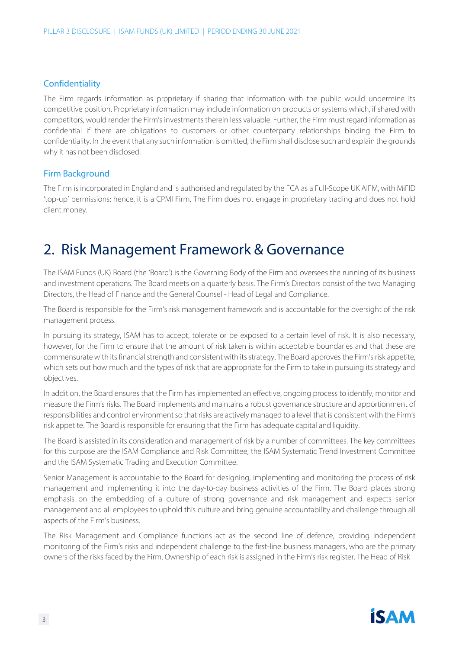#### **Confidentiality**

The Firm regards information as proprietary if sharing that information with the public would undermine its competitive position. Proprietary information may include information on products or systems which, if shared with competitors, would render the Firm's investments therein less valuable. Further, the Firm must regard information as confidential if there are obligations to customers or other counterparty relationships binding the Firm to confidentiality. In the event that any such information is omitted, the Firm shall disclose such and explain the grounds why it has not been disclosed.

#### Firm Background

The Firm is incorporated in England and is authorised and regulated by the FCA as a Full-Scope UK AIFM, with MiFID 'top-up' permissions; hence, it is a CPMI Firm. The Firm does not engage in proprietary trading and does not hold client money.

### 2. Risk Management Framework & Governance

The ISAM Funds (UK) Board (the 'Board') is the Governing Body of the Firm and oversees the running of its business and investment operations. The Board meets on a quarterly basis. The Firm's Directors consist of the two Managing Directors, the Head of Finance and the General Counsel - Head of Legal and Compliance.

The Board is responsible for the Firm's risk management framework and is accountable for the oversight of the risk management process.

In pursuing its strategy, ISAM has to accept, tolerate or be exposed to a certain level of risk. It is also necessary, however, for the Firm to ensure that the amount of risk taken is within acceptable boundaries and that these are commensurate with its financial strength and consistent with its strategy. The Board approves the Firm's risk appetite, which sets out how much and the types of risk that are appropriate for the Firm to take in pursuing its strategy and objectives.

In addition, the Board ensures that the Firm has implemented an effective, ongoing process to identify, monitor and measure the Firm's risks. The Board implements and maintains a robust governance structure and apportionment of responsibilities and control environmentso that risks are actively managed to a level that is consistent with the Firm's risk appetite. The Board is responsible for ensuring that the Firm has adequate capital and liquidity.

The Board is assisted in its consideration and management of risk by a number of committees. The key committees for this purpose are the ISAM Compliance and Risk Committee, the ISAM Systematic Trend Investment Committee and the ISAM Systematic Trading and Execution Committee.

Senior Management is accountable to the Board for designing, implementing and monitoring the process of risk management and implementing it into the day-to-day business activities of the Firm. The Board places strong emphasis on the embedding of a culture of strong governance and risk management and expects senior management and all employees to uphold this culture and bring genuine accountability and challenge through all aspects of the Firm's business.

The Risk Management and Compliance functions act as the second line of defence, providing independent monitoring of the Firm's risks and independent challenge to the first-line business managers, who are the primary owners of the risks faced by the Firm. Ownership of each risk is assigned in the Firm's risk register. The Head of Risk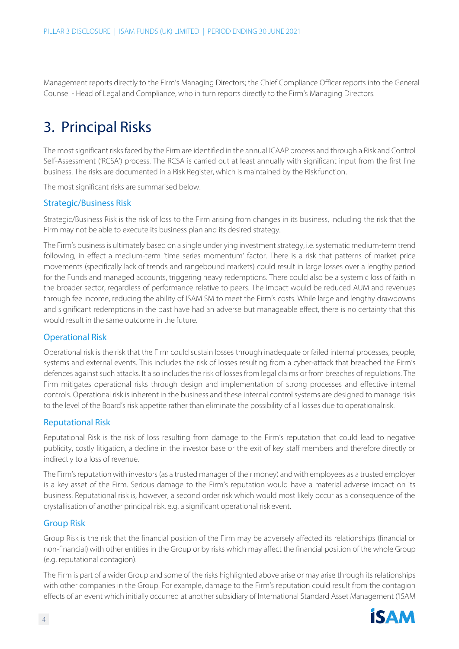Management reports directly to the Firm's Managing Directors; the Chief Compliance Officer reports into the General Counsel - Head of Legal and Compliance, who in turn reports directly to the Firm's Managing Directors.

# 3. Principal Risks

The most significant risks faced by the Firm are identified in the annual ICAAP process and through a Risk and Control Self-Assessment ('RCSA') process. The RCSA is carried out at least annually with significant input from the first line business. The risks are documented in a Risk Register, which is maintained by the Risk function.

The most significant risks are summarised below.

#### Strategic/Business Risk

Strategic/Business Risk is the risk of loss to the Firm arising from changes in its business, including the risk that the Firm may not be able to execute its business plan and its desired strategy.

The Firm's business is ultimately based on a single underlying investment strategy, i.e. systematic medium-term trend following, in effect a medium-term 'time series momentum' factor. There is a risk that patterns of market price movements (specifically lack of trends and rangebound markets) could result in large losses over a lengthy period for the Funds and managed accounts, triggering heavy redemptions. There could also be a systemic loss of faith in the broader sector, regardless of performance relative to peers. The impact would be reduced AUM and revenues through fee income, reducing the ability of ISAM SM to meet the Firm's costs. While large and lengthy drawdowns and significant redemptions in the past have had an adverse but manageable effect, there is no certainty that this would result in the same outcome in the future.

#### Operational Risk

Operational risk is the risk that the Firm could sustain losses through inadequate or failed internal processes, people, systems and external events. This includes the risk of losses resulting from a cyber-attack that breached the Firm's defences against such attacks. It also includes the risk of losses from legal claims or from breaches of regulations. The Firm mitigates operational risks through design and implementation of strong processes and effective internal controls. Operational risk is inherent in the business and these internal control systems are designed to manage risks to the level of the Board's risk appetite rather than eliminate the possibility of all losses due to operationalrisk.

#### Reputational Risk

Reputational Risk is the risk of loss resulting from damage to the Firm's reputation that could lead to negative publicity, costly litigation, a decline in the investor base or the exit of key staff members and therefore directly or indirectly to a loss of revenue.

The Firm's reputation with investors (as a trusted manager of their money) and with employees as a trusted employer is a key asset of the Firm. Serious damage to the Firm's reputation would have a material adverse impact on its business. Reputational risk is, however, a second order risk which would most likely occur as a consequence of the crystallisation of another principal risk, e.g. a significant operational risk event.

#### Group Risk

Group Risk is the risk that the financial position of the Firm may be adversely affected its relationships (financial or non-financial) with other entities in the Group or by risks which may affect the financial position of the whole Group (e.g. reputational contagion).

The Firm is part of a wider Group and some of the risks highlighted above arise or may arise through its relationships with other companies in the Group. For example, damage to the Firm's reputation could result from the contagion effects of an event which initially occurred at another subsidiary of International Standard Asset Management ('ISAM

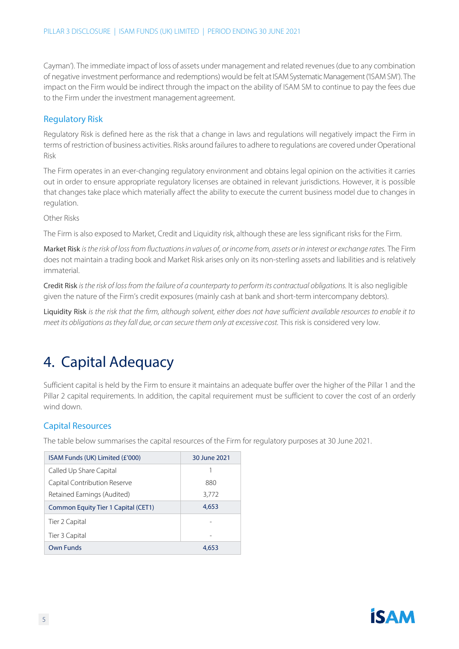Cayman'). The immediate impact of loss of assets under management and related revenues (due to any combination of negative investment performance and redemptions) would be felt at ISAM Systematic Management ('ISAMSM'). The impact on the Firm would be indirect through the impact on the ability of ISAM SM to continue to pay the fees due to the Firm under the investment management agreement.

#### Regulatory Risk

Regulatory Risk is defined here as the risk that a change in laws and regulations will negatively impact the Firm in terms of restriction of business activities. Risks around failures to adhere to regulations are covered under Operational Risk

The Firm operates in an ever-changing regulatory environment and obtains legal opinion on the activities it carries out in order to ensure appropriate regulatory licenses are obtained in relevant jurisdictions. However, it is possible that changes take place which materially affect the ability to execute the current business model due to changes in regulation.

#### Other Risks

The Firm is also exposed to Market, Credit and Liquidity risk, although these are less significant risks for the Firm.

Market Risk is the risk of loss from fluctuations in values of, or income from, assets or in interest or exchange rates. The Firm does not maintain a trading book and Market Risk arises only on its non-sterling assets and liabilities and is relatively immaterial.

Credit Risk *is the risk of loss from the failure of a counterparty to perform its contractual obligations.* It is also negligible given the nature of the Firm's credit exposures (mainly cash at bank and short-term intercompany debtors).

Liquidity Risk *is the risk that the firm, although solvent, either does not have sufficient available resources to enable it to meet its obligations as they fall due, or can secure them only at excessive cost. This risk is considered very low.* 

# 4. Capital Adequacy

Sufficient capital is held by the Firm to ensure it maintains an adequate buffer over the higher of the Pillar 1 and the Pillar 2 capital requirements. In addition, the capital requirement must be sufficient to cover the cost of an orderly wind down.

#### Capital Resources

The table below summarises the capital resources of the Firm for regulatory purposes at 30 June 2021.

| ISAM Funds (UK) Limited (£'000)     | 30 June 2021 |  |
|-------------------------------------|--------------|--|
| Called Up Share Capital             |              |  |
| Capital Contribution Reserve        | 880          |  |
| Retained Earnings (Audited)         | 3,772        |  |
| Common Equity Tier 1 Capital (CET1) | 4,653        |  |
| Tier 2 Capital                      |              |  |
| Tier 3 Capital                      |              |  |
| Own Funds                           | 4.653        |  |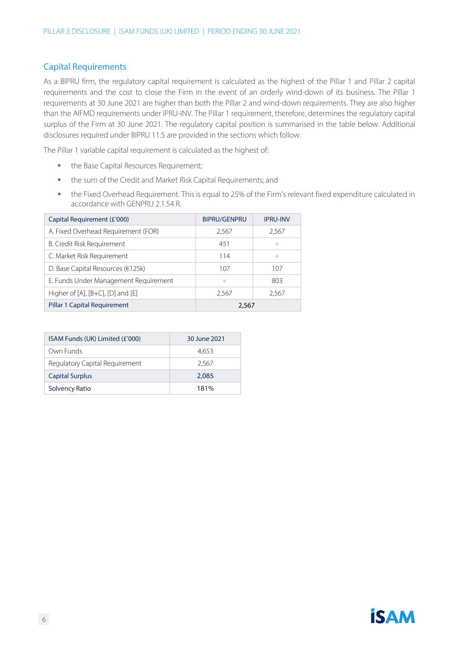#### Capital Requirements

As a BIPRU firm, the regulatory capital requirement is calculated as the highest of the Pillar 1 and Pillar 2 capital requirements and the cost to close the Firm in the event of an orderly wind-down of its business. The Pillar 1 requirements at 30 June 2021 are higher than both the Pillar 2 and wind-down requirements. They are also higher than the AIFMD requirements under IPRU-INV. The Pillar 1 requirement, therefore, determines the regulatory capital surplus of the Firm at 30 June 2021. The regulatory capital position is summarised in the table below. Additional disclosures required under BIPRU 11.5 are provided in the sections which follow.

The Pillar 1 variable capital requirement is calculated as the highest of:

- **■** the Base Capital Resources Requirement;
- the sum of the Credit and Market Risk Capital Requirements; and
- the Fixed Overhead Requirement. This is equal to 25% of the Firm's relevant fixed expenditure calculated in accordance with GENPRU 2.1.54 R.

| Capital Requirement (£'000)           | <b>BIPRU/GENPRU</b> | <b>IPRU-INV</b> |
|---------------------------------------|---------------------|-----------------|
| A. Fixed Overhead Requirement (FOR)   | 2,567               | 2,567           |
| B. Credit Risk Requirement            | 451                 | ۰               |
| C. Market Risk Requirement            | 114                 | $\bullet$       |
| D. Base Capital Resources (€125k)     | 107                 | 107             |
| E. Funds Under Management Requirement | $\triangle$         | 803             |
| Higher of [A], [B+C], [D] and [E]     | 2,567               | 2,567           |
| <b>Pillar 1 Capital Requirement</b>   | 2,567               |                 |

| ISAM Funds (UK) Limited (£'000) | 30 June 2021 |  |  |
|---------------------------------|--------------|--|--|
| Own Funds                       | 4.653        |  |  |
| Regulatory Capital Requirement  | 2.567        |  |  |
| <b>Capital Surplus</b>          | 2.085        |  |  |
| <b>Solvency Ratio</b>           | 181%         |  |  |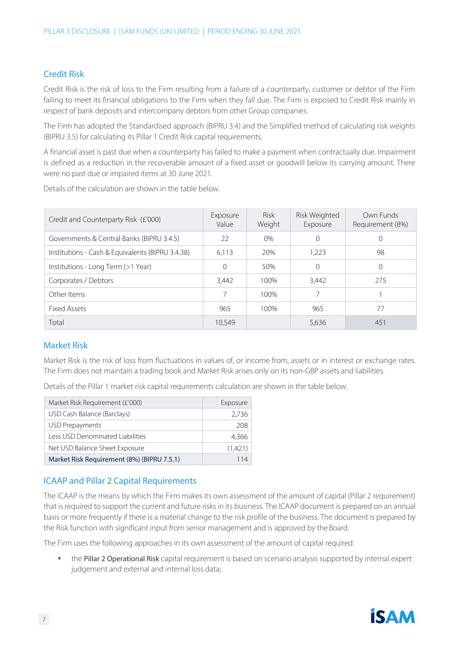#### Credit Risk

Credit Risk is the risk of loss to the Firm resulting from a failure of a counterparty, customer or debtor of the Firm failing to meet its financial obligations to the Firm when they fall due. The Firm is exposed to Credit Risk mainly in respect of bank deposits and intercompany debtors from other Group companies.

The Firm has adopted the Standardised approach (BIPRU 3.4) and the Simplified method of calculating risk weights (BIPRU 3.5) for calculating its Pillar 1 Credit Risk capital requirements.

A financial asset is past due when a counterparty has failed to make a payment when contractually due. Impairment is defined as a reduction in the recoverable amount of a fixed asset or goodwill below its carrying amount. There were no past due or impaired items at 30 June 2021.

Details of the calculation are shown in the table below.

| Credit and Counterparty Risk (£'000)             | Exposure<br>Value | <b>Risk</b><br>Weight | Risk Weighted<br>Exposure | Own Funds<br>Requirement (8%) |
|--------------------------------------------------|-------------------|-----------------------|---------------------------|-------------------------------|
| Governments & Central Banks (BIPRU 3.4.5)        | 22                | $0\%$                 |                           | $\Omega$                      |
| Institutions - Cash & Equivalents (BIPRU 3.4.38) | 6,113             | 20%                   | 1,223                     | 98                            |
| Institutions - Long Term (>1 Year)               | $\Omega$          | 50%                   |                           | $\Omega$                      |
| Corporates / Debtors                             | 3,442             | 100%                  | 3.442                     | 275                           |
| Other Items                                      | 7                 | 100%                  |                           |                               |
| Fixed Assets                                     | 965               | 100%                  | 965                       | 77                            |
| Total                                            | 10.549            |                       | 5,636                     | 451                           |

#### Market Risk

Market Risk is the risk of loss from fluctuations in values of, or income from, assets or in interest or exchange rates. The Firm does not maintain a trading book and Market Risk arises only on its non-GBP assets and liabilities.

Details of the Pillar 1 market risk capital requirements calculation are shown in the table below.

| Market Risk Requirement (£'000)            | Exposure |
|--------------------------------------------|----------|
| USD Cash Balance (Barclays)                | 2,736    |
| USD Prepayments                            | 208      |
| Less USD Denominated Liabilities           | 4,366    |
| Net USD Balance Sheet Exposure             | (1,421)  |
| Market Risk Requirement (8%) (BIPRU 7.5.1) | 114      |

#### ICAAP and Pillar 2 Capital Requirements

The ICAAP is the means by which the Firm makes its own assessment of the amount of capital (Pillar 2 requirement) that is required to support the current and future risks in its business. The ICAAP document is prepared on an annual basis or more frequently if there is a material change to the risk profile of the business. The document is prepared by the Risk function with significant input from senior management and is approved by the Board.

The Firm uses the following approaches in its own assessment of the amount of capital required:

**■** the Pillar 2 Operational Risk capital requirement is based on scenario analysis supported by internal expert judgement and external and internal loss data;